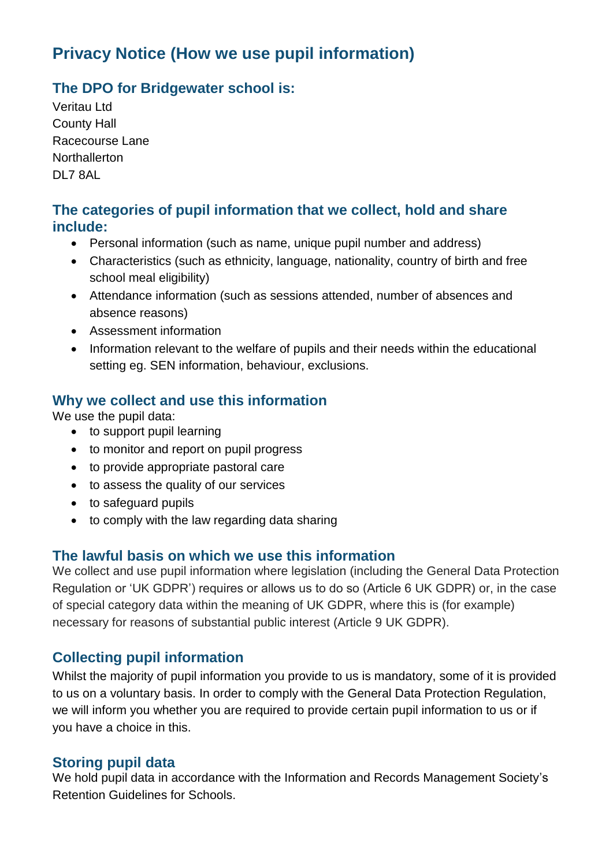# **Privacy Notice (How we use pupil information)**

### **The DPO for Bridgewater school is:**

Veritau Ltd County Hall Racecourse Lane **Northallerton** DL7 8AL

### **The categories of pupil information that we collect, hold and share include:**

- Personal information (such as name, unique pupil number and address)
- Characteristics (such as ethnicity, language, nationality, country of birth and free school meal eligibility)
- Attendance information (such as sessions attended, number of absences and absence reasons)
- Assessment information
- Information relevant to the welfare of pupils and their needs within the educational setting eg. SEN information, behaviour, exclusions.

### **Why we collect and use this information**

We use the pupil data:

- to support pupil learning
- to monitor and report on pupil progress
- to provide appropriate pastoral care
- to assess the quality of our services
- to safeguard pupils
- to comply with the law regarding data sharing

### **The lawful basis on which we use this information**

We collect and use pupil information where legislation (including the General Data Protection Regulation or 'UK GDPR') requires or allows us to do so (Article 6 UK GDPR) or, in the case of special category data within the meaning of UK GDPR, where this is (for example) necessary for reasons of substantial public interest (Article 9 UK GDPR).

### **Collecting pupil information**

Whilst the majority of pupil information you provide to us is mandatory, some of it is provided to us on a voluntary basis. In order to comply with the General Data Protection Regulation, we will inform you whether you are required to provide certain pupil information to us or if you have a choice in this.

### **Storing pupil data**

We hold pupil data in accordance with the Information and Records Management Society's Retention Guidelines for Schools.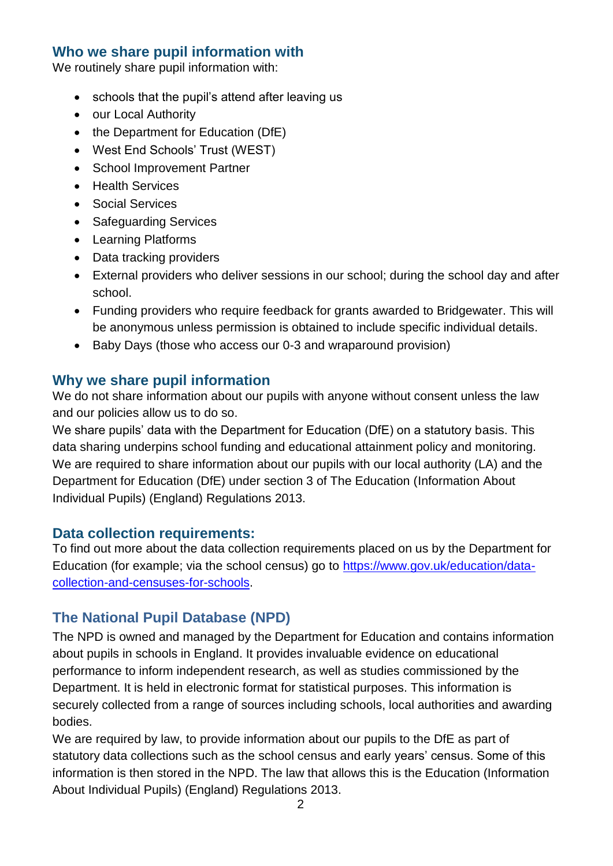#### **Who we share pupil information with**

We routinely share pupil information with:

- schools that the pupil's attend after leaving us
- our Local Authority
- the Department for Education (DfE)
- West End Schools' Trust (WEST)
- School Improvement Partner
- Health Services
- Social Services
- Safeguarding Services
- Learning Platforms
- Data tracking providers
- External providers who deliver sessions in our school; during the school day and after school.
- Funding providers who require feedback for grants awarded to Bridgewater. This will be anonymous unless permission is obtained to include specific individual details.
- Baby Days (those who access our 0-3 and wraparound provision)

#### **Why we share pupil information**

We do not share information about our pupils with anyone without consent unless the law and our policies allow us to do so.

We share pupils' data with the Department for Education (DfE) on a statutory basis. This data sharing underpins school funding and educational attainment policy and monitoring. We are required to share information about our pupils with our local authority (LA) and the Department for Education (DfE) under section 3 of The Education (Information About Individual Pupils) (England) Regulations 2013.

#### **Data collection requirements:**

To find out more about the data collection requirements placed on us by the Department for Education (for example; via the school census) go to [https://www.gov.uk/education/data](https://www.gov.uk/education/data-collection-and-censuses-for-schools)[collection-and-censuses-for-schools.](https://www.gov.uk/education/data-collection-and-censuses-for-schools)

### **The National Pupil Database (NPD)**

The NPD is owned and managed by the Department for Education and contains information about pupils in schools in England. It provides invaluable evidence on educational performance to inform independent research, as well as studies commissioned by the Department. It is held in electronic format for statistical purposes. This information is securely collected from a range of sources including schools, local authorities and awarding bodies.

We are required by law, to provide information about our pupils to the DfE as part of statutory data collections such as the school census and early years' census. Some of this information is then stored in the NPD. The law that allows this is the Education (Information About Individual Pupils) (England) Regulations 2013.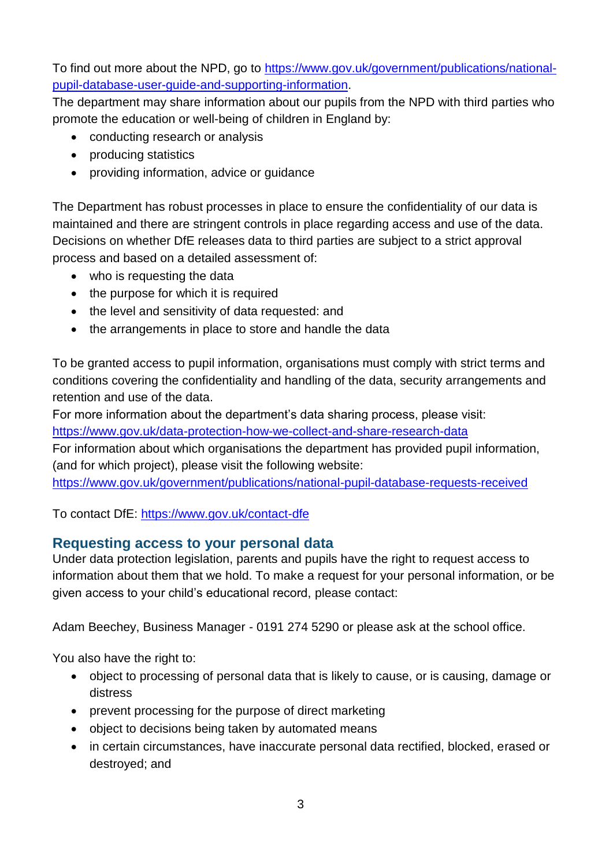To find out more about the NPD, go to [https://www.gov.uk/government/publications/national](https://www.gov.uk/government/publications/national-pupil-database-user-guide-and-supporting-information)[pupil-database-user-guide-and-supporting-information.](https://www.gov.uk/government/publications/national-pupil-database-user-guide-and-supporting-information)

The department may share information about our pupils from the NPD with third parties who promote the education or well-being of children in England by:

- conducting research or analysis
- producing statistics
- providing information, advice or guidance

The Department has robust processes in place to ensure the confidentiality of our data is maintained and there are stringent controls in place regarding access and use of the data. Decisions on whether DfE releases data to third parties are subject to a strict approval process and based on a detailed assessment of:

- who is requesting the data
- the purpose for which it is required
- the level and sensitivity of data requested: and
- the arrangements in place to store and handle the data

To be granted access to pupil information, organisations must comply with strict terms and conditions covering the confidentiality and handling of the data, security arrangements and retention and use of the data.

For more information about the department's data sharing process, please visit:

<https://www.gov.uk/data-protection-how-we-collect-and-share-research-data>

For information about which organisations the department has provided pupil information, (and for which project), please visit the following website:

<https://www.gov.uk/government/publications/national-pupil-database-requests-received>

To contact DfE:<https://www.gov.uk/contact-dfe>

### **Requesting access to your personal data**

Under data protection legislation, parents and pupils have the right to request access to information about them that we hold. To make a request for your personal information, or be given access to your child's educational record, please contact:

Adam Beechey, Business Manager - 0191 274 5290 or please ask at the school office.

You also have the right to:

- object to processing of personal data that is likely to cause, or is causing, damage or distress
- prevent processing for the purpose of direct marketing
- object to decisions being taken by automated means
- in certain circumstances, have inaccurate personal data rectified, blocked, erased or destroyed; and